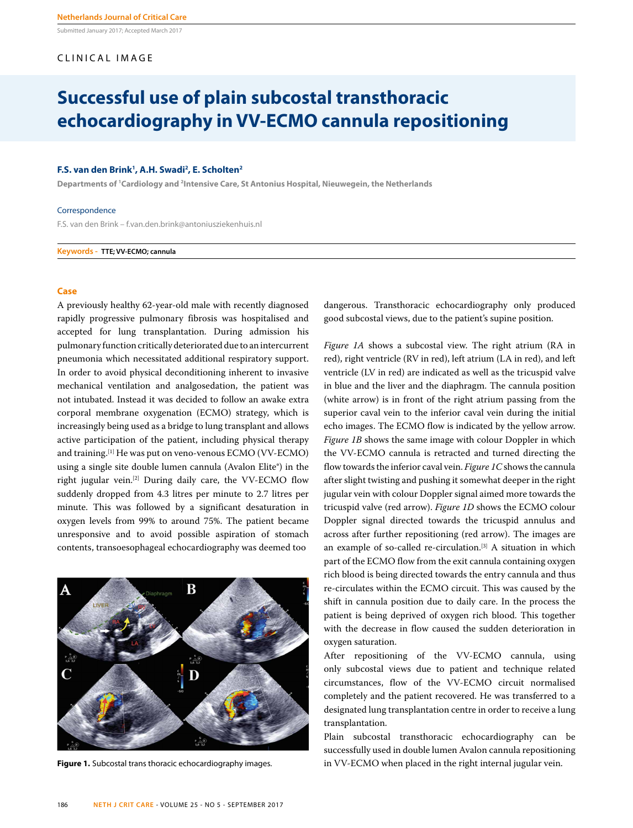Submitted January 2017; Accepted March 2017

#### CLINICAL IMAGE

### **Successful use of plain subcostal transthoracic echocardiography in VV-ECMO cannula repositioning**

#### **F.S. van den Brink1 , A.H. Swadi2 , E. Scholten2**

**Departments of 1 Cardiology and 2 Intensive Care, St Antonius Hospital, Nieuwegein, the Netherlands**

#### **Correspondence**

F.S. van den Brink – f.van.den.brink@antoniusziekenhuis.nl

**Keywords - TTE; VV-ECMO; cannula**

#### **Case**

A previously healthy 62-year-old male with recently diagnosed rapidly progressive pulmonary fibrosis was hospitalised and accepted for lung transplantation. During admission his pulmonary function critically deteriorated due to an intercurrent pneumonia which necessitated additional respiratory support. In order to avoid physical deconditioning inherent to invasive mechanical ventilation and analgosedation, the patient was not intubated. Instead it was decided to follow an awake extra corporal membrane oxygenation (ECMO) strategy, which is increasingly being used as a bridge to lung transplant and allows active participation of the patient, including physical therapy and training.[1] He was put on veno-venous ECMO (VV-ECMO) using a single site double lumen cannula (Avalon Elite®) in the right jugular vein.[2] During daily care, the VV-ECMO flow suddenly dropped from 4.3 litres per minute to 2.7 litres per minute. This was followed by a significant desaturation in oxygen levels from 99% to around 75%. The patient became unresponsive and to avoid possible aspiration of stomach contents, transoesophageal echocardiography was deemed too



dangerous. Transthoracic echocardiography only produced good subcostal views, due to the patient's supine position.

*Figure 1A* shows a subcostal view. The right atrium (RA in red), right ventricle (RV in red), left atrium (LA in red), and left ventricle (LV in red) are indicated as well as the tricuspid valve in blue and the liver and the diaphragm. The cannula position (white arrow) is in front of the right atrium passing from the superior caval vein to the inferior caval vein during the initial echo images. The ECMO flow is indicated by the yellow arrow. *Figure 1B* shows the same image with colour Doppler in which the VV-ECMO cannula is retracted and turned directing the flow towards the inferior caval vein. *Figure 1C* shows the cannula after slight twisting and pushing it somewhat deeper in the right jugular vein with colour Doppler signal aimed more towards the tricuspid valve (red arrow). *Figure 1D* shows the ECMO colour Doppler signal directed towards the tricuspid annulus and across after further repositioning (red arrow). The images are an example of so-called re-circulation.<sup>[3]</sup> A situation in which part of the ECMO flow from the exit cannula containing oxygen rich blood is being directed towards the entry cannula and thus re-circulates within the ECMO circuit. This was caused by the shift in cannula position due to daily care. In the process the patient is being deprived of oxygen rich blood. This together with the decrease in flow caused the sudden deterioration in oxygen saturation.

After repositioning of the VV-ECMO cannula, using only subcostal views due to patient and technique related circumstances, flow of the VV-ECMO circuit normalised completely and the patient recovered. He was transferred to a designated lung transplantation centre in order to receive a lung transplantation.

Plain subcostal transthoracic echocardiography can be successfully used in double lumen Avalon cannula repositioning **Figure 1.** Subcostal trans thoracic echocardiography images. in VV-ECMO when placed in the right internal jugular vein.